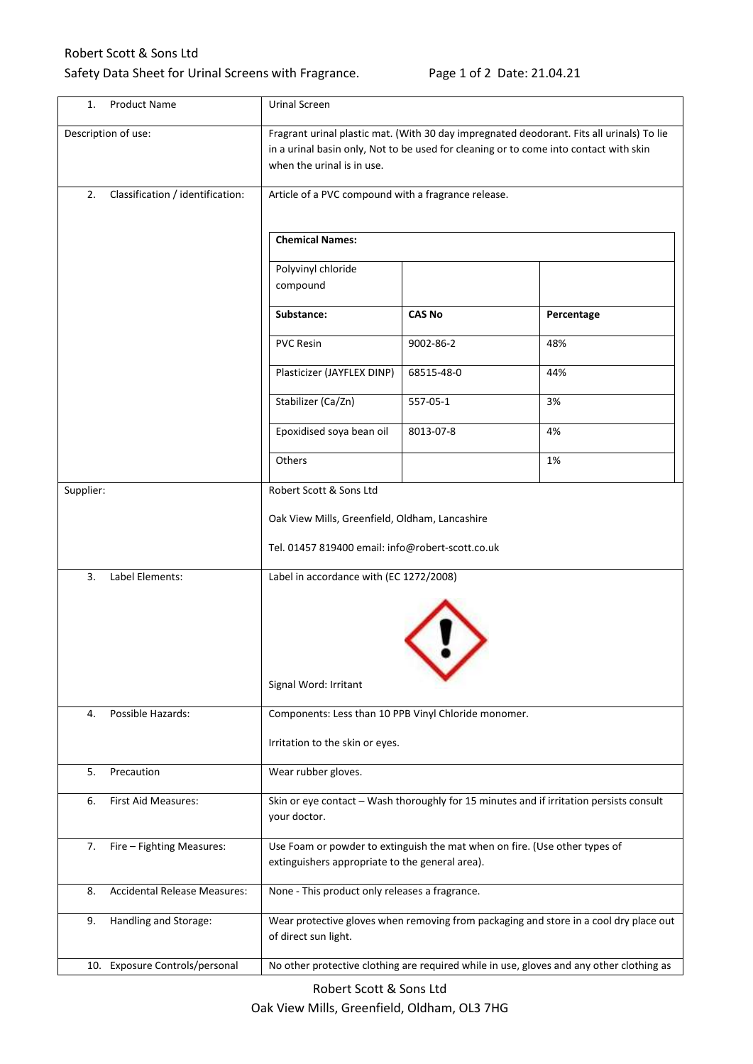## Robert Scott & Sons Ltd

## Safety Data Sheet for Urinal Screens with Fragrance. Page 1 of 2 Date: 21.04.21

| 1.                  | <b>Product Name</b>              | Urinal Screen                                                                                                                                                                                                    |               |            |
|---------------------|----------------------------------|------------------------------------------------------------------------------------------------------------------------------------------------------------------------------------------------------------------|---------------|------------|
| Description of use: |                                  | Fragrant urinal plastic mat. (With 30 day impregnated deodorant. Fits all urinals) To lie<br>in a urinal basin only, Not to be used for cleaning or to come into contact with skin<br>when the urinal is in use. |               |            |
| 2.                  | Classification / identification: | Article of a PVC compound with a fragrance release.                                                                                                                                                              |               |            |
|                     |                                  | <b>Chemical Names:</b>                                                                                                                                                                                           |               |            |
|                     |                                  | Polyvinyl chloride                                                                                                                                                                                               |               |            |
|                     |                                  | compound                                                                                                                                                                                                         |               |            |
|                     |                                  | Substance:                                                                                                                                                                                                       | <b>CAS No</b> | Percentage |
|                     |                                  | <b>PVC Resin</b>                                                                                                                                                                                                 | 9002-86-2     | 48%        |
|                     |                                  | Plasticizer (JAYFLEX DINP)                                                                                                                                                                                       | 68515-48-0    | 44%        |
|                     |                                  | Stabilizer (Ca/Zn)                                                                                                                                                                                               | 557-05-1      | 3%         |
|                     |                                  | Epoxidised soya bean oil                                                                                                                                                                                         | 8013-07-8     | 4%         |
|                     |                                  | Others                                                                                                                                                                                                           |               | 1%         |
| Supplier:           |                                  | Robert Scott & Sons Ltd                                                                                                                                                                                          |               |            |
|                     |                                  | Oak View Mills, Greenfield, Oldham, Lancashire                                                                                                                                                                   |               |            |
|                     |                                  | Tel. 01457 819400 email: info@robert-scott.co.uk                                                                                                                                                                 |               |            |
| 3.                  | Label Elements:                  | Label in accordance with (EC 1272/2008)                                                                                                                                                                          |               |            |
|                     |                                  |                                                                                                                                                                                                                  |               |            |
|                     |                                  | Signal Word: Irritant                                                                                                                                                                                            |               |            |
| 4.                  | Possible Hazards:                | Components: Less than 10 PPB Vinyl Chloride monomer.                                                                                                                                                             |               |            |
|                     |                                  | Irritation to the skin or eyes.                                                                                                                                                                                  |               |            |
| 5.                  | Precaution                       | Wear rubber gloves.                                                                                                                                                                                              |               |            |
| 6.                  | First Aid Measures:              | Skin or eye contact - Wash thoroughly for 15 minutes and if irritation persists consult<br>your doctor.                                                                                                          |               |            |
| 7.                  | Fire - Fighting Measures:        | Use Foam or powder to extinguish the mat when on fire. (Use other types of<br>extinguishers appropriate to the general area).                                                                                    |               |            |
| 8.                  | Accidental Release Measures:     | None - This product only releases a fragrance.                                                                                                                                                                   |               |            |
| 9.                  | Handling and Storage:            | Wear protective gloves when removing from packaging and store in a cool dry place out<br>of direct sun light.                                                                                                    |               |            |
|                     | 10. Exposure Controls/personal   | No other protective clothing are required while in use, gloves and any other clothing as                                                                                                                         |               |            |